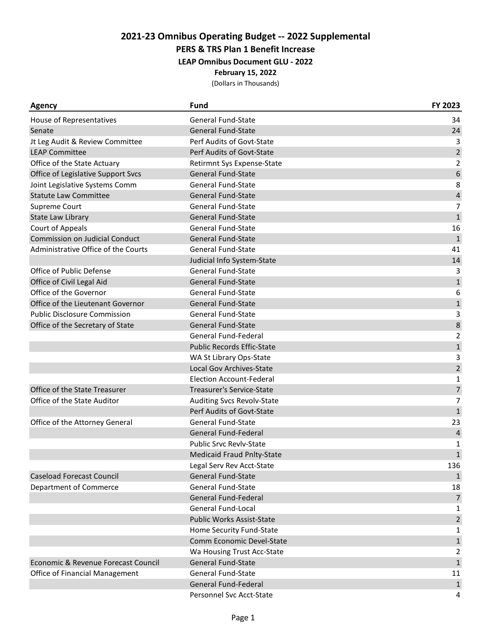**PERS & TRS Plan 1 Benefit Increase**

**LEAP Omnibus Document GLU - 2022**

#### **February 15, 2022**

| <b>Agency</b>                         | <b>Fund</b>                       | FY 2023          |
|---------------------------------------|-----------------------------------|------------------|
| House of Representatives              | <b>General Fund-State</b>         | 34               |
| Senate                                | <b>General Fund-State</b>         | 24               |
| Jt Leg Audit & Review Committee       | Perf Audits of Govt-State         | 3                |
| <b>LEAP Committee</b>                 | Perf Audits of Govt-State         | $\overline{2}$   |
| Office of the State Actuary           | Retirmnt Sys Expense-State        | $\overline{2}$   |
| Office of Legislative Support Svcs    | <b>General Fund-State</b>         | $\boldsymbol{6}$ |
| Joint Legislative Systems Comm        | <b>General Fund-State</b>         | 8                |
| <b>Statute Law Committee</b>          | <b>General Fund-State</b>         | $\pmb{4}$        |
| Supreme Court                         | <b>General Fund-State</b>         | $\overline{7}$   |
| State Law Library                     | <b>General Fund-State</b>         | $\mathbf{1}$     |
| Court of Appeals                      | <b>General Fund-State</b>         | 16               |
| <b>Commission on Judicial Conduct</b> | <b>General Fund-State</b>         | $\mathbf{1}$     |
| Administrative Office of the Courts   | <b>General Fund-State</b>         | 41               |
|                                       | Judicial Info System-State        | 14               |
| Office of Public Defense              | <b>General Fund-State</b>         | 3                |
| Office of Civil Legal Aid             | <b>General Fund-State</b>         | $\mathbf 1$      |
| Office of the Governor                | <b>General Fund-State</b>         | 6                |
| Office of the Lieutenant Governor     | <b>General Fund-State</b>         | $\mathbf{1}$     |
| <b>Public Disclosure Commission</b>   | <b>General Fund-State</b>         | 3                |
| Office of the Secretary of State      | <b>General Fund-State</b>         | 8                |
|                                       | General Fund-Federal              | $\overline{2}$   |
|                                       | <b>Public Records Effic-State</b> | $\mathbf 1$      |
|                                       | WA St Library Ops-State           | 3                |
|                                       | Local Gov Archives-State          | $\overline{2}$   |
|                                       | <b>Election Account-Federal</b>   | $\mathbf{1}$     |
| Office of the State Treasurer         | Treasurer's Service-State         | $\overline{7}$   |
| Office of the State Auditor           | <b>Auditing Svcs Revolv-State</b> | $\overline{7}$   |
|                                       | Perf Audits of Govt-State         | $\mathbf 1$      |
| Office of the Attorney General        | <b>General Fund-State</b>         | 23               |
|                                       | General Fund-Federal              | $\sqrt{4}$       |
|                                       | <b>Public Srvc Revlv-State</b>    | 1                |
|                                       | <b>Medicaid Fraud Pnlty-State</b> | $\mathbf{1}$     |
|                                       | Legal Serv Rev Acct-State         | 136              |
| <b>Caseload Forecast Council</b>      | <b>General Fund-State</b>         | $\mathbf{1}$     |
| Department of Commerce                | <b>General Fund-State</b>         | 18               |
|                                       | General Fund-Federal              | $\overline{7}$   |
|                                       | General Fund-Local                | 1                |
|                                       | <b>Public Works Assist-State</b>  | $\overline{2}$   |
|                                       | Home Security Fund-State          | $\mathbf{1}$     |
|                                       | Comm Economic Devel-State         | $\mathbf{1}$     |
|                                       | Wa Housing Trust Acc-State        | 2                |
| Economic & Revenue Forecast Council   | <b>General Fund-State</b>         | $\mathbf{1}$     |
| Office of Financial Management        | <b>General Fund-State</b>         | 11               |
|                                       | General Fund-Federal              | $\mathbf{1}$     |
|                                       | Personnel Svc Acct-State          | 4                |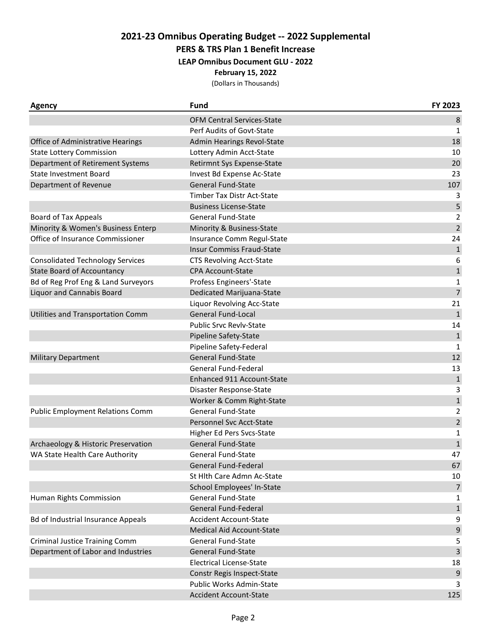**PERS & TRS Plan 1 Benefit Increase**

**LEAP Omnibus Document GLU - 2022**

**February 15, 2022**

| <b>Agency</b>                             | <b>Fund</b>                       | FY 2023        |
|-------------------------------------------|-----------------------------------|----------------|
|                                           | <b>OFM Central Services-State</b> | 8              |
|                                           | Perf Audits of Govt-State         | 1              |
| Office of Administrative Hearings         | Admin Hearings Revol-State        | 18             |
| <b>State Lottery Commission</b>           | Lottery Admin Acct-State          | 10             |
| Department of Retirement Systems          | Retirmnt Sys Expense-State        | 20             |
| <b>State Investment Board</b>             | Invest Bd Expense Ac-State        | 23             |
| Department of Revenue                     | <b>General Fund-State</b>         | 107            |
|                                           | Timber Tax Distr Act-State        | 3              |
|                                           | <b>Business License-State</b>     | 5              |
| <b>Board of Tax Appeals</b>               | <b>General Fund-State</b>         | $\overline{2}$ |
| Minority & Women's Business Enterp        | Minority & Business-State         | $\overline{2}$ |
| Office of Insurance Commissioner          | Insurance Comm Regul-State        | 24             |
|                                           | <b>Insur Commiss Fraud-State</b>  | $\mathbf{1}$   |
| <b>Consolidated Technology Services</b>   | <b>CTS Revolving Acct-State</b>   | 6              |
| <b>State Board of Accountancy</b>         | <b>CPA Account-State</b>          | $\mathbf{1}$   |
| Bd of Reg Prof Eng & Land Surveyors       | Profess Engineers'-State          | 1              |
| <b>Liquor and Cannabis Board</b>          | Dedicated Marijuana-State         | $\overline{7}$ |
|                                           | Liquor Revolving Acc-State        | 21             |
| Utilities and Transportation Comm         | <b>General Fund-Local</b>         | $\mathbf{1}$   |
|                                           | <b>Public Srvc Revly-State</b>    | 14             |
|                                           | Pipeline Safety-State             | $\mathbf{1}$   |
|                                           | Pipeline Safety-Federal           | $\mathbf{1}$   |
| <b>Military Department</b>                | <b>General Fund-State</b>         | 12             |
|                                           | General Fund-Federal              | 13             |
|                                           | Enhanced 911 Account-State        | $\mathbf 1$    |
|                                           | Disaster Response-State           | 3              |
|                                           | Worker & Comm Right-State         | $\mathbf{1}$   |
| <b>Public Employment Relations Comm</b>   | <b>General Fund-State</b>         | $\overline{2}$ |
|                                           | Personnel Svc Acct-State          | $\overline{2}$ |
|                                           | Higher Ed Pers Svcs-State         | 1              |
| Archaeology & Historic Preservation       | <b>General Fund-State</b>         | $\mathbf{1}$   |
| WA State Health Care Authority            | <b>General Fund-State</b>         | 47             |
|                                           | General Fund-Federal              | 67             |
|                                           | St Hlth Care Admn Ac-State        | 10             |
|                                           | School Employees' In-State        | $\overline{7}$ |
| Human Rights Commission                   | General Fund-State                | 1              |
|                                           | General Fund-Federal              | $\mathbf{1}$   |
| <b>Bd of Industrial Insurance Appeals</b> | <b>Accident Account-State</b>     | 9              |
|                                           | Medical Aid Account-State         | 9              |
| <b>Criminal Justice Training Comm</b>     | <b>General Fund-State</b>         | 5              |
| Department of Labor and Industries        | <b>General Fund-State</b>         | 3              |
|                                           | <b>Electrical License-State</b>   | 18             |
|                                           | Constr Regis Inspect-State        | 9              |
|                                           | Public Works Admin-State          | 3              |
|                                           | <b>Accident Account-State</b>     | 125            |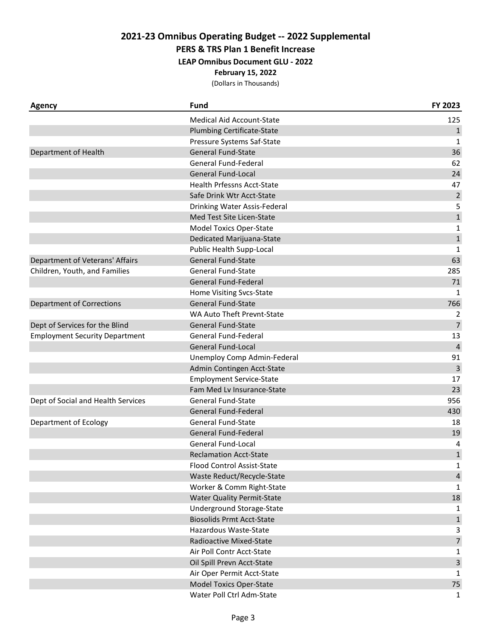**PERS & TRS Plan 1 Benefit Increase**

**LEAP Omnibus Document GLU - 2022**

**February 15, 2022**

| <b>Agency</b>                         | <b>Fund</b>                       | FY 2023        |
|---------------------------------------|-----------------------------------|----------------|
|                                       | <b>Medical Aid Account-State</b>  | 125            |
|                                       | <b>Plumbing Certificate-State</b> | $\mathbf{1}$   |
|                                       | Pressure Systems Saf-State        | $\mathbf{1}$   |
| Department of Health                  | General Fund-State                | 36             |
|                                       | General Fund-Federal              | 62             |
|                                       | <b>General Fund-Local</b>         | 24             |
|                                       | Health Prfessns Acct-State        | 47             |
|                                       | Safe Drink Wtr Acct-State         | $\mathbf 2$    |
|                                       | Drinking Water Assis-Federal      | 5              |
|                                       | Med Test Site Licen-State         | $\mathbf{1}$   |
|                                       | <b>Model Toxics Oper-State</b>    | $\mathbf 1$    |
|                                       | Dedicated Marijuana-State         | $\mathbf{1}$   |
|                                       | Public Health Supp-Local          | $\mathbf{1}$   |
| Department of Veterans' Affairs       | <b>General Fund-State</b>         | 63             |
| Children, Youth, and Families         | <b>General Fund-State</b>         | 285            |
|                                       | General Fund-Federal              | 71             |
|                                       | Home Visiting Svcs-State          | $\mathbf{1}$   |
| <b>Department of Corrections</b>      | <b>General Fund-State</b>         | 766            |
|                                       | WA Auto Theft Prevnt-State        | 2              |
| Dept of Services for the Blind        | <b>General Fund-State</b>         | $\overline{7}$ |
| <b>Employment Security Department</b> | General Fund-Federal              | 13             |
|                                       | General Fund-Local                | $\overline{4}$ |
|                                       | Unemploy Comp Admin-Federal       | 91             |
|                                       | Admin Contingen Acct-State        | 3              |
|                                       | <b>Employment Service-State</b>   | 17             |
|                                       | Fam Med Lv Insurance-State        | 23             |
| Dept of Social and Health Services    | <b>General Fund-State</b>         | 956            |
|                                       | General Fund-Federal              | 430            |
| Department of Ecology                 | <b>General Fund-State</b>         | 18             |
|                                       | General Fund-Federal              | 19             |
|                                       | <b>General Fund-Local</b>         | 4              |
|                                       | <b>Reclamation Acct-State</b>     | $\mathbf{1}$   |
|                                       | Flood Control Assist-State        | 1              |
|                                       | Waste Reduct/Recycle-State        | $\overline{4}$ |
|                                       | Worker & Comm Right-State         | 1              |
|                                       | <b>Water Quality Permit-State</b> | 18             |
|                                       | Underground Storage-State         | 1              |
|                                       | <b>Biosolids Prmt Acct-State</b>  | $1\,$          |
|                                       | Hazardous Waste-State             | 3              |
|                                       | Radioactive Mixed-State           | $\overline{7}$ |
|                                       | Air Poll Contr Acct-State         | 1              |
|                                       | Oil Spill Prevn Acct-State        | $\overline{3}$ |
|                                       | Air Oper Permit Acct-State        | $\mathbf 1$    |
|                                       | <b>Model Toxics Oper-State</b>    | 75             |
|                                       | Water Poll Ctrl Adm-State         | 1              |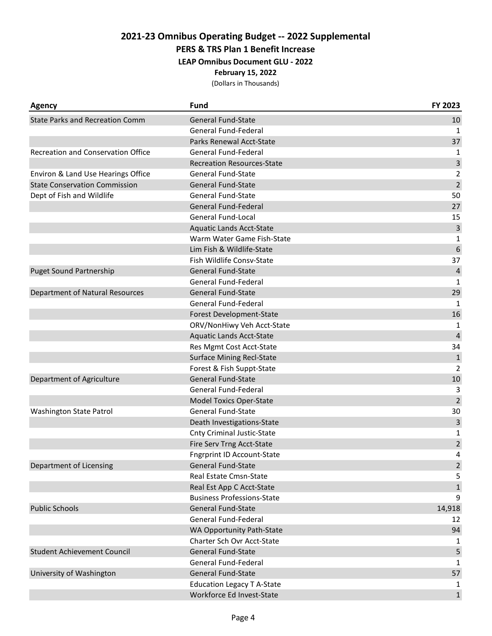**PERS & TRS Plan 1 Benefit Increase**

**LEAP Omnibus Document GLU - 2022**

**February 15, 2022**

| <b>Agency</b>                             | <b>Fund</b>                       | FY 2023         |
|-------------------------------------------|-----------------------------------|-----------------|
| <b>State Parks and Recreation Comm</b>    | <b>General Fund-State</b>         | 10              |
|                                           | General Fund-Federal              | 1               |
|                                           | Parks Renewal Acct-State          | 37              |
| <b>Recreation and Conservation Office</b> | General Fund-Federal              | 1               |
|                                           | <b>Recreation Resources-State</b> | 3               |
| Environ & Land Use Hearings Office        | <b>General Fund-State</b>         | $\overline{2}$  |
| <b>State Conservation Commission</b>      | <b>General Fund-State</b>         | $\overline{2}$  |
| Dept of Fish and Wildlife                 | <b>General Fund-State</b>         | 50              |
|                                           | General Fund-Federal              | 27              |
|                                           | <b>General Fund-Local</b>         | 15              |
|                                           | <b>Aquatic Lands Acct-State</b>   | $\overline{3}$  |
|                                           | Warm Water Game Fish-State        | 1               |
|                                           | Lim Fish & Wildlife-State         | $6\phantom{1}6$ |
|                                           | Fish Wildlife Consv-State         | 37              |
| <b>Puget Sound Partnership</b>            | <b>General Fund-State</b>         | $\sqrt{4}$      |
|                                           | General Fund-Federal              | 1               |
| Department of Natural Resources           | <b>General Fund-State</b>         | 29              |
|                                           | General Fund-Federal              | $\mathbf{1}$    |
|                                           | Forest Development-State          | 16              |
|                                           | ORV/NonHiwy Veh Acct-State        | 1               |
|                                           | <b>Aquatic Lands Acct-State</b>   | $\sqrt{4}$      |
|                                           | Res Mgmt Cost Acct-State          | 34              |
|                                           | <b>Surface Mining Recl-State</b>  | $\mathbf{1}$    |
|                                           | Forest & Fish Suppt-State         | $\overline{2}$  |
| Department of Agriculture                 | <b>General Fund-State</b>         | 10              |
|                                           | General Fund-Federal              | 3               |
|                                           | <b>Model Toxics Oper-State</b>    | $\overline{2}$  |
| <b>Washington State Patrol</b>            | <b>General Fund-State</b>         | 30              |
|                                           | Death Investigations-State        | 3               |
|                                           | <b>Cnty Criminal Justic-State</b> | 1               |
|                                           | Fire Serv Trng Acct-State         | $\overline{2}$  |
|                                           | <b>Fngrprint ID Account-State</b> | 4               |
| Department of Licensing                   | <b>General Fund-State</b>         | $\overline{2}$  |
|                                           | Real Estate Cmsn-State            | 5               |
|                                           | Real Est App C Acct-State         | $1\,$           |
|                                           | <b>Business Professions-State</b> | 9               |
| <b>Public Schools</b>                     | <b>General Fund-State</b>         | 14,918          |
|                                           | General Fund-Federal              | 12              |
|                                           | WA Opportunity Path-State         | 94              |
|                                           | Charter Sch Ovr Acct-State        | 1               |
| <b>Student Achievement Council</b>        | <b>General Fund-State</b>         | 5               |
|                                           | General Fund-Federal              | 1               |
| University of Washington                  | <b>General Fund-State</b>         | 57              |
|                                           | <b>Education Legacy T A-State</b> | 1               |
|                                           | Workforce Ed Invest-State         | $\mathbf{1}$    |